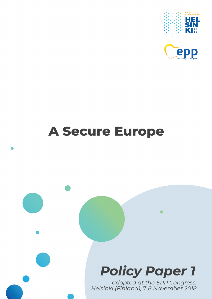



# **A Secure Europe**



 $\bullet$ 

adopted at the EPP Congress,<br>Helsinki (Finland), 7-8 November 2018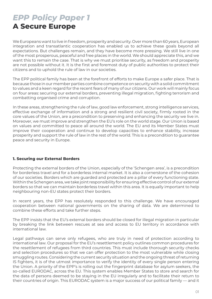## *EPP Policy Paper 1* **A Secure Europe**

We Europeans want to live in freedom, prosperity and security. Over more than 60 years, European integration and transatlantic cooperation has enabled us to achieve these goals beyond all expectations. But challenges remain, and they have become more pressing. We still live in one of the most prosperous, peaceful and free places in the world. We should appreciate this, and we want this to remain the case. That is why we must prioritise security, as freedom and prosperity are not possible without it. It is the first and foremost duty of public authorities to protect their citizens and to uphold the rule of law in our societies.

The EPP political family has been at the forefront of efforts to make Europe a safer place. That is because those in our member parties combine competence on security with a solid commitment to values and a keen regard for the recent fears of many of our citizens. Our work will mainly focus on four areas: securing our external borders, preventing illegal migration, fighting terrorism and combatting organised crime and corruption.

In these areas, strengthening the rule of law, good law enforcement, strong intelligence services, effective exchange of information and a strong and resilient civil society, firmly rooted in the core values of the Union, are a precondition to preserving and enhancing the security we live in. Moreover, we must improve and strengthen the EU's role on the world stage. Our Union is based on values and committed to peace all around the world. The EU and its Member States must improve their cooperation and continue to develop capacities to enhance stability, increase prosperity and support the rule of law in the rest of the world. This is a precondition to guarantee peace and security in Europe.

#### **1. Securing our External Borders**

Protecting the external borders of the Union, especially of the 'Schengen area', is a precondition for borderless travel and for a borderless internal market. It is also a cornerstone of the cohesion of our societies. Borders which are guarded and protected are a pillar of every functioning state. Within the Schengen area, we take joint responsibility for ensuring effective control of our external borders so that we can maintain borderless travel within this area. It is equally important to help neighbouring non-EU states protect their borders.

In recent years, the EPP has resolutely responded to this challenge. We have encouraged cooperation between national governments on the sharing of data. We are determined to combine these efforts and take further steps.

The EPP insists that the EU's external borders should be closed for illegal migration in particular by breaking the link between rescues at sea and access to EU territory in accordance with international law.

Legal pathways can serve only refugees, who are truly in need of protection according to international law. Our proposal for the EU's resettlement policy outlines common procedures for the resettlement of refugees from third countries. This must include thorough security checks and selection procedures so that we can offer protection to the most vulnerable while closing smuggling routes. Considering the current security situation and the ongoing threat of returning IS fighters, it is of the utmost importance to verify the identity of every single person entering the Union. A priority of the EPP's is rolling out the fingerprint database for asylum seekers, the so-called EURODAC, across the EU. This system enables Member States to store and search for the data of persons deemed to be staying in the EU irregularly and to facilitate their return to their countries of origin. This EURODAC system is a major success of our political family — and it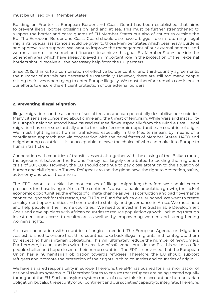must be utilised by all Member States.

Building on Frontex, a European Border and Coast Guard has been established that aims to prevent illegal border crossings on land and at sea. This must be further strengthened to support the border and coast guards of EU Member States but also of countries outside the EU. The European Border and Coast Guard should also have a bigger role in returning illegal migrants. Special assistance should be given to those Member States which bear heavy burdens and approve such support. We want to improve the management of our external borders, and we must commit personnel and finances to achieve this goal. EU Member States outside the Schengen area which have already played an important role in the protection of their external borders should receive all the necessary help from the EU partners.

Since 2015, thanks to a combination of effective border control and third-country agreements, the number of arrivals has decreased substantially. However, there are still too many people risking their lives when trying to enter Europe illegally. We must therefore remain consistent in our efforts to ensure the efficient protection of our external borders.

#### **2. Preventing Illegal Migration**

Illegal migration can be a source of social tension and can potentially destabilise our societies. Many citizens are concerned about crime and the threat of terrorism. While wars and instability in Europe's neighbourhood have caused refugee flows, especially from the Middle East, illegal migration has risen substantially due to the lack of economic opportunities in countries of origin. We must fight against human traffickers, especially in the Mediterranean, by means of a coordinated approach and via cooperation with the naval forces of Member States, NATO and neighbouring countries. It is unacceptable to leave the choice of who can make it to Europe to human traffickers.

Cooperation with countries of transit is essential: together with the closing of the 'Balkan route', the agreement between the EU and Turkey has largely contributed to tackling the migration crisis of 2015-2016. However, the EU should continue to pay close attention to the situation of human and civil rights in Turkey. Refugees around the globe have the right to protection, safety, autonomy and equal treatment.

The EPP wants to tackle the root causes of illegal migration; therefore we should create prospects for those living in Africa. The continent's unsustainable population growth, the lack of economic opportunities, the effects of climate change as well as corruption and bad governance cannot be ignored: for this reason, the EU Trust Fund for Africa was launched. We want to create employment opportunities and contribute to stability and governance in Africa. We must help and help people in their home countries. We need to invest in the Sustainable Development Goals and develop plans with African countries to reduce population growth, including through investment and access to healthcare as well as by empowering women and strengthening women's rights.

A closer cooperation with countries of origin is needed. The European Agenda on Migration was established to ensure that third countries take back illegal migrants and reintegrate them by respecting humanitarian obligations. This will ultimately reduce the number of newcomers. Furthermore, in conjunction with the creation of safe zones outside the EU, this will also offer people shelter and hope closer to their home countries. The EPP is convinced that the European Union has a humanitarian obligation towards refugees. Therefore, the EU should support refugees and promote the protection of their rights in third countries and countries of origin.

We have a shared responsibility in Europe. Therefore, the EPP has pushed for a harmonisation of national asylum systems in EU Member States to ensure that refugees are being treated equally throughout the EU. Such an asylum system must of course take into account our humanitarian obligation, but also the security of our continent and our societies' capacity to integrate. Therefore,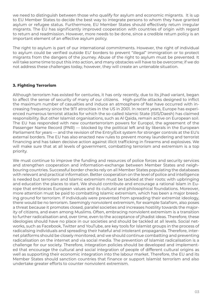we need to distinguish between those who qualify for asylum and economic migrants. It is up to EU Member States to decide the best way to integrate persons to whom they have granted asylum or refugee status. Furthermore, EU Member States should effectively return irregular migrants. The EU has significantly improved cooperation with countries of origin with regard to return and readmission. However, more needs to be done, since a credible return policy is an important element of an effective asylum policy.

The right to asylum is part of our international commitments. However, the right of individual to asylum could be verified outside EU' borders to prevent "illegal" immigration or to protect migrants from the dangers of the journey. Abuse of the right to asylum must be prevented. It will take some time to put this into action, and many obstacles will have to be overcome; if we do not address these challenges today, however, they will create an untenable situation.

### **3. Fighting Terrorism**

Although terrorism has existed for centuries, it has only recently, due to its jihad variant, began to affect the sense of security of many of our citizens. High-profile attacks designed to inflict the maximum number of casualties and induce an atmosphere of fear have occurred with increasing frequency since the 9/11 atrocities in the US in 2001. In recent years, Europe has experienced numerous terrorist attacks for which the so-called Islamic State (ISIS/Daesh) has claimed responsibility. But other Islamist organisations, such as Al Qaida, remain active on European soil. The EU has responded with new counterterrorism powers for Europol, the agreement of the Passenger Name Record (PNR) — blocked by the political left and by liberals in the European Parliament for years — and the revision of the Entry/Exit system for stronger controls at the EU's external borders. The EU has also enacted new rules to prevent money laundering and terrorist financing and has taken decisive action against illicit trafficking in firearms and explosives. We will make sure that at all levels of government, combatting terrorism and extremism is a top priority.

We must continue to improve the funding and resources of police forces and security services and strengthen cooperation and information-exchange between Member States and neighbouring countries. Successful border checks rely on all Member States populating the databases with relevant and practical information. Better cooperation on the level of police and intelligence is needed but terrorism and Islamic extremism must be tackled at their roots: with upbringing and education the places to start. We should contribute and encourage a rational Islam in Europe that embraces European values and its cultural and philosophical foundations. Moreover, more attention must be paid to combatting Islamic extremism, which has been a major breeding ground for terrorism. If individuals were prevented from spreading their extremist ideology, there would be no terrorism. Seemingly nonviolent extremism, for example Salafism, also poses a threat because it promotes closed, parallel societies and increases hostility towards the majority of citizens, and even among Muslims. Often, embracing nonviolent extremism is a transition to further radicalisation and, over time, even to the acceptance of jihadist ideas. Therefore, these ideologies should have no place in our societies and should be tackled at all levels. Social networks, such as Facebook, Twitter and YouTube, are key tools for Islamist groups in the process of radicalising individuals and spreading their hateful and intolerant propaganda. Therefore, internet platforms should be closely monitored, and we should continue combatting and preventing radicalisation on the internet and via social media. The prevention of Islamist radicalisation is a challenge for our society. Therefore, integration policies should be developed and implemented that encourage the cultural and social integration of people of different cultural origins as well as supporting their economic integration into the labour market. Therefore, the EU and its Member States should sanction countries that finance or support Islamist terrorism and also undertake greater efforts to counter nonviolent extremism.